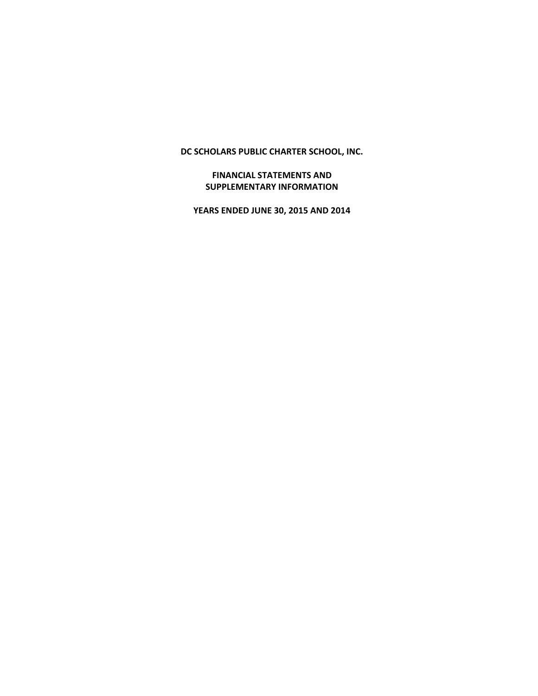**DC SCHOLARS PUBLIC CHARTER SCHOOL, INC.**

**FINANCIAL STATEMENTS AND SUPPLEMENTARY INFORMATION**

**YEARS ENDED JUNE 30, 2015 AND 2014**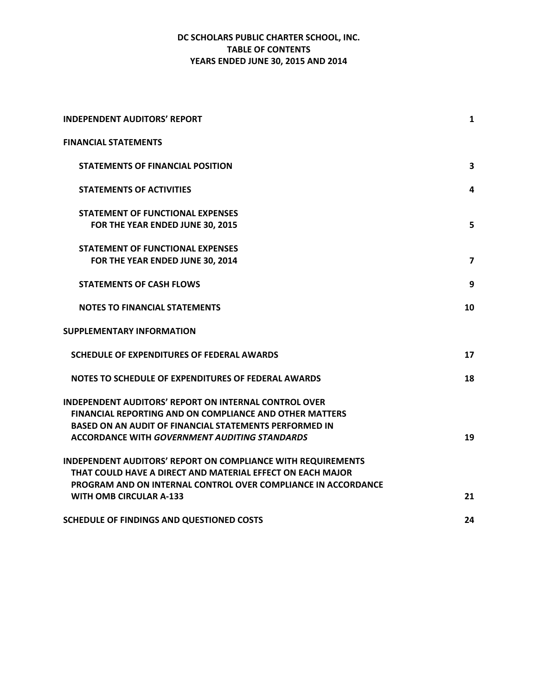# **DC SCHOLARS PUBLIC CHARTER SCHOOL, INC. TABLE OF CONTENTS YEARS ENDED JUNE 30, 2015 AND 2014**

| <b>INDEPENDENT AUDITORS' REPORT</b>                                 | $\mathbf{1}$            |
|---------------------------------------------------------------------|-------------------------|
| <b>FINANCIAL STATEMENTS</b>                                         |                         |
| STATEMENTS OF FINANCIAL POSITION                                    | 3                       |
| <b>STATEMENTS OF ACTIVITIES</b>                                     | 4                       |
| <b>STATEMENT OF FUNCTIONAL EXPENSES</b>                             |                         |
| FOR THE YEAR ENDED JUNE 30, 2015                                    | 5                       |
| <b>STATEMENT OF FUNCTIONAL EXPENSES</b>                             |                         |
| FOR THE YEAR ENDED JUNE 30, 2014                                    | $\overline{\mathbf{z}}$ |
| <b>STATEMENTS OF CASH FLOWS</b>                                     | 9                       |
| <b>NOTES TO FINANCIAL STATEMENTS</b>                                | 10                      |
| <b>SUPPLEMENTARY INFORMATION</b>                                    |                         |
| <b>SCHEDULE OF EXPENDITURES OF FEDERAL AWARDS</b>                   | 17                      |
| NOTES TO SCHEDULE OF EXPENDITURES OF FEDERAL AWARDS                 | 18                      |
| <b>INDEPENDENT AUDITORS' REPORT ON INTERNAL CONTROL OVER</b>        |                         |
| <b>FINANCIAL REPORTING AND ON COMPLIANCE AND OTHER MATTERS</b>      |                         |
| BASED ON AN AUDIT OF FINANCIAL STATEMENTS PERFORMED IN              |                         |
| <b>ACCORDANCE WITH GOVERNMENT AUDITING STANDARDS</b>                | 19                      |
| <b>INDEPENDENT AUDITORS' REPORT ON COMPLIANCE WITH REQUIREMENTS</b> |                         |
| THAT COULD HAVE A DIRECT AND MATERIAL EFFECT ON EACH MAJOR          |                         |
| PROGRAM AND ON INTERNAL CONTROL OVER COMPLIANCE IN ACCORDANCE       |                         |
| <b>WITH OMB CIRCULAR A-133</b>                                      | 21                      |
| SCHEDULE OF FINDINGS AND QUESTIONED COSTS                           | 24                      |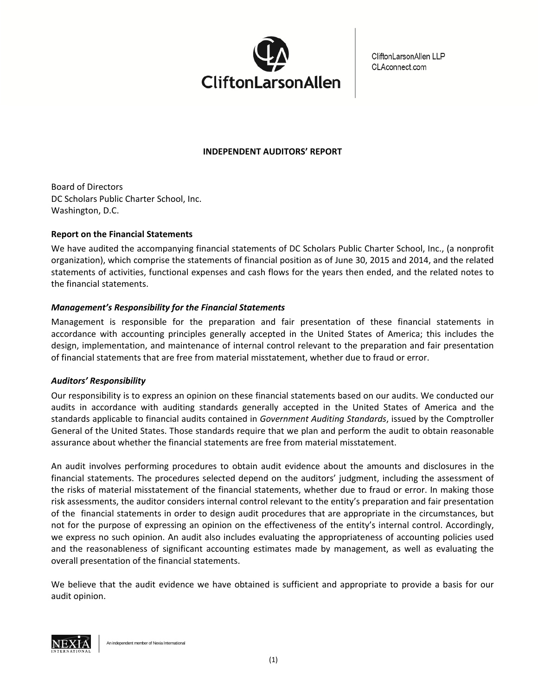

CliftonLarsonAllen LLP CLAconnect.com

### **INDEPENDENT AUDITORS' REPORT**

Board of Directors DC Scholars Public Charter School, Inc. Washington, D.C.

### **Report on the Financial Statements**

We have audited the accompanying financial statements of DC Scholars Public Charter School, Inc., (a nonprofit organization), which comprise the statements of financial position as of June 30, 2015 and 2014, and the related statements of activities, functional expenses and cash flows for the years then ended, and the related notes to the financial statements.

### *Management's Responsibility for the Financial Statements*

Management is responsible for the preparation and fair presentation of these financial statements in accordance with accounting principles generally accepted in the United States of America; this includes the design, implementation, and maintenance of internal control relevant to the preparation and fair presentation of financial statements that are free from material misstatement, whether due to fraud or error.

### *Auditors' Responsibility*

Our responsibility is to express an opinion on these financial statements based on our audits. We conducted our audits in accordance with auditing standards generally accepted in the United States of America and the standards applicable to financial audits contained in *Government Auditing Standards*, issued by the Comptroller General of the United States. Those standards require that we plan and perform the audit to obtain reasonable assurance about whether the financial statements are free from material misstatement.

An audit involves performing procedures to obtain audit evidence about the amounts and disclosures in the financial statements. The procedures selected depend on the auditors' judgment, including the assessment of the risks of material misstatement of the financial statements, whether due to fraud or error. In making those risk assessments, the auditor considers internal control relevant to the entity's preparation and fair presentation of the financial statements in order to design audit procedures that are appropriate in the circumstances, but not for the purpose of expressing an opinion on the effectiveness of the entity's internal control. Accordingly, we express no such opinion. An audit also includes evaluating the appropriateness of accounting policies used and the reasonableness of significant accounting estimates made by management, as well as evaluating the overall presentation of the financial statements.

We believe that the audit evidence we have obtained is sufficient and appropriate to provide a basis for our audit opinion.

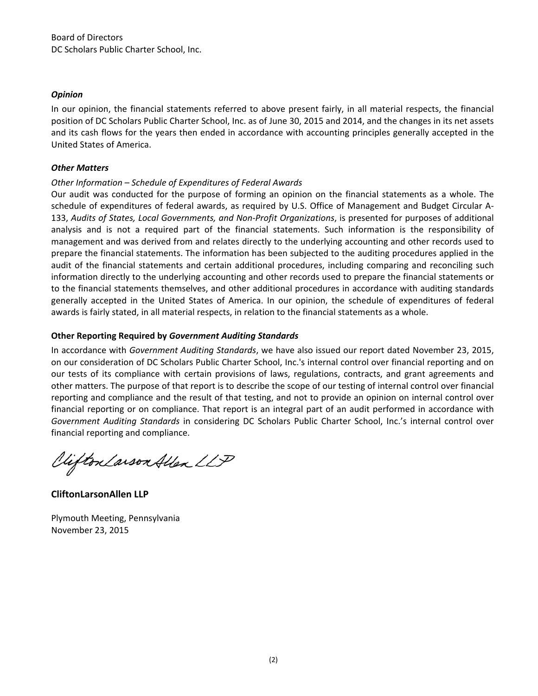# *Opinion*

In our opinion, the financial statements referred to above present fairly, in all material respects, the financial position of DC Scholars Public Charter School, Inc. as of June 30, 2015 and 2014, and the changes in its net assets and its cash flows for the years then ended in accordance with accounting principles generally accepted in the United States of America.

# *Other Matters*

# *Other Information – Schedule of Expenditures of Federal Awards*

Our audit was conducted for the purpose of forming an opinion on the financial statements as a whole. The schedule of expenditures of federal awards, as required by U.S. Office of Management and Budget Circular A‐ 133, *Audits of States, Local Governments, and Non‐Profit Organizations*, is presented for purposes of additional analysis and is not a required part of the financial statements. Such information is the responsibility of management and was derived from and relates directly to the underlying accounting and other records used to prepare the financial statements. The information has been subjected to the auditing procedures applied in the audit of the financial statements and certain additional procedures, including comparing and reconciling such information directly to the underlying accounting and other records used to prepare the financial statements or to the financial statements themselves, and other additional procedures in accordance with auditing standards generally accepted in the United States of America. In our opinion, the schedule of expenditures of federal awards is fairly stated, in all material respects, in relation to the financial statements as a whole.

# **Other Reporting Required by** *Government Auditing Standards*

In accordance with *Government Auditing Standards*, we have also issued our report dated November 23, 2015, on our consideration of DC Scholars Public Charter School, Inc.'s internal control over financial reporting and on our tests of its compliance with certain provisions of laws, regulations, contracts, and grant agreements and other matters. The purpose of that report is to describe the scope of our testing of internal control over financial reporting and compliance and the result of that testing, and not to provide an opinion on internal control over financial reporting or on compliance. That report is an integral part of an audit performed in accordance with *Government Auditing Standards* in considering DC Scholars Public Charter School, Inc.'s internal control over financial reporting and compliance.

Viifton Larson Allen LLP

**CliftonLarsonAllen LLP**

Plymouth Meeting, Pennsylvania November 23, 2015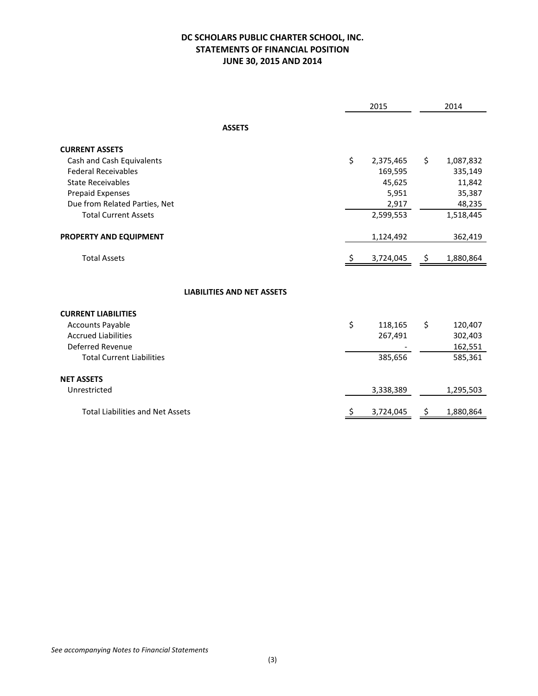# **DC SCHOLARS PUBLIC CHARTER SCHOOL, INC. STATEMENTS OF FINANCIAL POSITION JUNE 30, 2015 AND 2014**

|                                         | 2015            |    | 2014      |  |
|-----------------------------------------|-----------------|----|-----------|--|
| <b>ASSETS</b>                           |                 |    |           |  |
| <b>CURRENT ASSETS</b>                   |                 |    |           |  |
| Cash and Cash Equivalents               | \$<br>2,375,465 | \$ | 1,087,832 |  |
| <b>Federal Receivables</b>              | 169,595         |    | 335,149   |  |
| <b>State Receivables</b>                | 45,625          |    | 11,842    |  |
| <b>Prepaid Expenses</b>                 | 5,951           |    | 35,387    |  |
| Due from Related Parties, Net           | 2,917           |    | 48,235    |  |
| <b>Total Current Assets</b>             | 2,599,553       |    | 1,518,445 |  |
| PROPERTY AND EQUIPMENT                  | 1,124,492       |    | 362,419   |  |
| <b>Total Assets</b>                     | 3,724,045       | \$ | 1,880,864 |  |
| <b>LIABILITIES AND NET ASSETS</b>       |                 |    |           |  |
| <b>CURRENT LIABILITIES</b>              |                 |    |           |  |
| <b>Accounts Payable</b>                 | \$<br>118,165   | \$ | 120,407   |  |
| <b>Accrued Liabilities</b>              | 267,491         |    | 302,403   |  |
| Deferred Revenue                        |                 |    | 162,551   |  |
| <b>Total Current Liabilities</b>        | 385,656         |    | 585,361   |  |
| <b>NET ASSETS</b>                       |                 |    |           |  |
| Unrestricted                            | 3,338,389       |    | 1,295,503 |  |
| <b>Total Liabilities and Net Assets</b> | 3,724,045       | Ş  | 1,880,864 |  |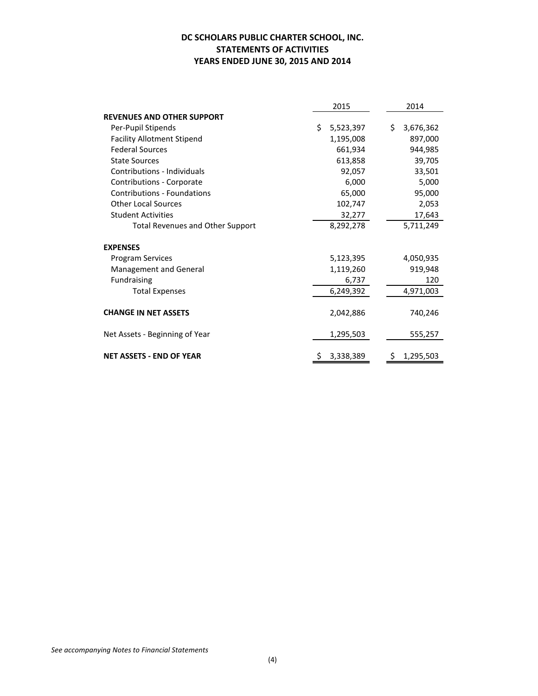# **DC SCHOLARS PUBLIC CHARTER SCHOOL, INC. STATEMENTS OF ACTIVITIES YEARS ENDED JUNE 30, 2015 AND 2014**

|                                         | 2015 |           |     | 2014      |
|-----------------------------------------|------|-----------|-----|-----------|
| <b>REVENUES AND OTHER SUPPORT</b>       |      |           |     |           |
| Per-Pupil Stipends                      | Ś.   | 5,523,397 | Ś.  | 3,676,362 |
| <b>Facility Allotment Stipend</b>       |      | 1,195,008 |     | 897,000   |
| <b>Federal Sources</b>                  |      | 661,934   |     | 944,985   |
| <b>State Sources</b>                    |      | 613,858   |     | 39,705    |
| Contributions - Individuals             |      | 92,057    |     | 33,501    |
| Contributions - Corporate               |      | 6,000     |     | 5,000     |
| <b>Contributions - Foundations</b>      |      | 65,000    |     | 95,000    |
| <b>Other Local Sources</b>              |      | 102,747   |     | 2,053     |
| <b>Student Activities</b>               |      | 32,277    |     | 17,643    |
| <b>Total Revenues and Other Support</b> |      | 8,292,278 |     | 5,711,249 |
| <b>EXPENSES</b>                         |      |           |     |           |
| <b>Program Services</b>                 |      | 5,123,395 |     | 4,050,935 |
| Management and General                  |      | 1,119,260 |     | 919,948   |
| Fundraising                             |      | 6,737     |     | 120       |
| <b>Total Expenses</b>                   |      | 6,249,392 |     | 4,971,003 |
| <b>CHANGE IN NET ASSETS</b>             |      | 2,042,886 |     | 740,246   |
| Net Assets - Beginning of Year          |      | 1,295,503 |     | 555,257   |
| <b>NET ASSETS - END OF YEAR</b>         | \$.  | 3,338,389 | \$. | 1,295,503 |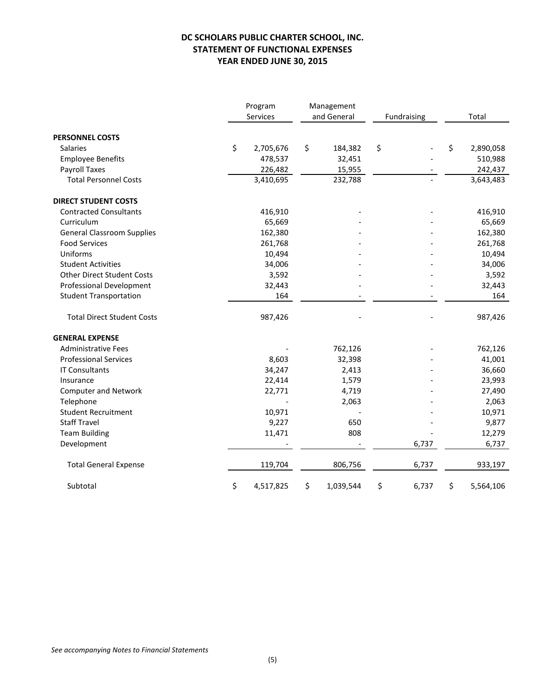# **DC SCHOLARS PUBLIC CHARTER SCHOOL, INC. STATEMENT OF FUNCTIONAL EXPENSES YEAR ENDED JUNE 30, 2015**

|                                   | Program         | Management |             | Fundraising |       |    |           |
|-----------------------------------|-----------------|------------|-------------|-------------|-------|----|-----------|
|                                   | Services        |            | and General |             |       |    | Total     |
| <b>PERSONNEL COSTS</b>            |                 |            |             |             |       |    |           |
| Salaries                          | \$<br>2,705,676 | \$         | 184,382     | \$          |       | \$ | 2,890,058 |
| <b>Employee Benefits</b>          | 478,537         |            | 32,451      |             |       |    | 510,988   |
| Payroll Taxes                     | 226,482         |            | 15,955      |             |       |    | 242,437   |
| <b>Total Personnel Costs</b>      | 3,410,695       |            | 232,788     |             |       |    | 3,643,483 |
| <b>DIRECT STUDENT COSTS</b>       |                 |            |             |             |       |    |           |
| <b>Contracted Consultants</b>     | 416,910         |            |             |             |       |    | 416,910   |
| Curriculum                        | 65,669          |            |             |             |       |    | 65,669    |
| <b>General Classroom Supplies</b> | 162,380         |            |             |             |       |    | 162,380   |
| <b>Food Services</b>              | 261,768         |            |             |             |       |    | 261,768   |
| Uniforms                          | 10,494          |            |             |             |       |    | 10,494    |
| <b>Student Activities</b>         | 34,006          |            |             |             |       |    | 34,006    |
| <b>Other Direct Student Costs</b> | 3,592           |            |             |             |       |    | 3,592     |
| <b>Professional Development</b>   | 32,443          |            |             |             |       |    | 32,443    |
| <b>Student Transportation</b>     | 164             |            |             |             |       |    | 164       |
| <b>Total Direct Student Costs</b> | 987,426         |            |             |             |       |    | 987,426   |
| <b>GENERAL EXPENSE</b>            |                 |            |             |             |       |    |           |
| <b>Administrative Fees</b>        |                 |            | 762,126     |             |       |    | 762,126   |
| <b>Professional Services</b>      | 8,603           |            | 32,398      |             |       |    | 41,001    |
| <b>IT Consultants</b>             | 34,247          |            | 2,413       |             |       |    | 36,660    |
| Insurance                         | 22,414          |            | 1,579       |             |       |    | 23,993    |
| <b>Computer and Network</b>       | 22,771          |            | 4,719       |             |       |    | 27,490    |
| Telephone                         |                 |            | 2,063       |             |       |    | 2,063     |
| <b>Student Recruitment</b>        | 10,971          |            |             |             |       |    | 10,971    |
| <b>Staff Travel</b>               | 9,227           |            | 650         |             |       |    | 9,877     |
| <b>Team Building</b>              | 11,471          |            | 808         |             |       |    | 12,279    |
| Development                       |                 |            |             |             | 6,737 |    | 6,737     |
| <b>Total General Expense</b>      | 119,704         |            | 806,756     |             | 6,737 |    | 933,197   |
| Subtotal                          | \$<br>4,517,825 | \$         | 1,039,544   | \$          | 6,737 | \$ | 5,564,106 |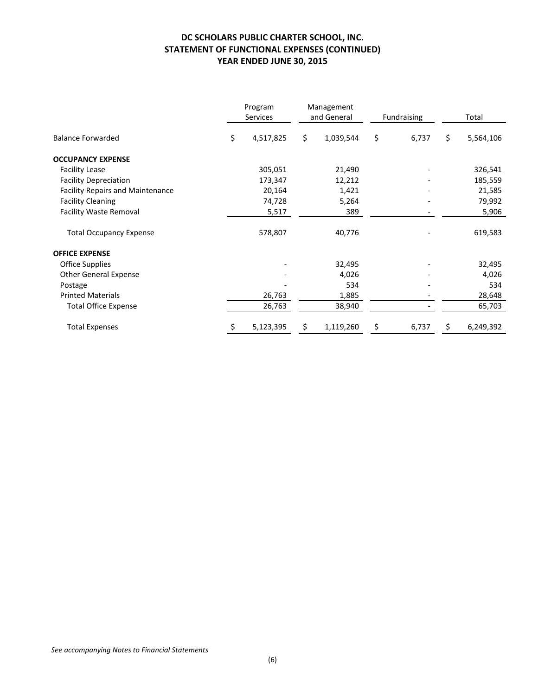# **DC SCHOLARS PUBLIC CHARTER SCHOOL, INC. STATEMENT OF FUNCTIONAL EXPENSES (CONTINUED) YEAR ENDED JUNE 30, 2015**

|                                         | Program<br><b>Services</b> |    | Management<br>and General | Fundraising | Total           |
|-----------------------------------------|----------------------------|----|---------------------------|-------------|-----------------|
| <b>Balance Forwarded</b>                | \$<br>4,517,825            | \$ | 1,039,544                 | \$<br>6,737 | \$<br>5,564,106 |
| <b>OCCUPANCY EXPENSE</b>                |                            |    |                           |             |                 |
| <b>Facility Lease</b>                   | 305,051                    |    | 21,490                    |             | 326,541         |
| <b>Facility Depreciation</b>            | 173,347                    |    | 12,212                    |             | 185,559         |
| <b>Facility Repairs and Maintenance</b> | 20,164                     |    | 1,421                     |             | 21,585          |
| <b>Facility Cleaning</b>                | 74,728                     |    | 5,264                     |             | 79,992          |
| Facility Waste Removal                  | 5,517                      |    | 389                       |             | 5,906           |
| <b>Total Occupancy Expense</b>          | 578,807                    |    | 40,776                    |             | 619,583         |
| <b>OFFICE EXPENSE</b>                   |                            |    |                           |             |                 |
| <b>Office Supplies</b>                  |                            |    | 32,495                    |             | 32,495          |
| <b>Other General Expense</b>            |                            |    | 4,026                     |             | 4,026           |
| Postage                                 |                            |    | 534                       |             | 534             |
| <b>Printed Materials</b>                | 26,763                     |    | 1,885                     |             | 28,648          |
| <b>Total Office Expense</b>             | 26,763                     |    | 38,940                    |             | 65,703          |
| <b>Total Expenses</b>                   | 5,123,395                  | Ş  | 1,119,260                 | 6,737       | 6,249,392       |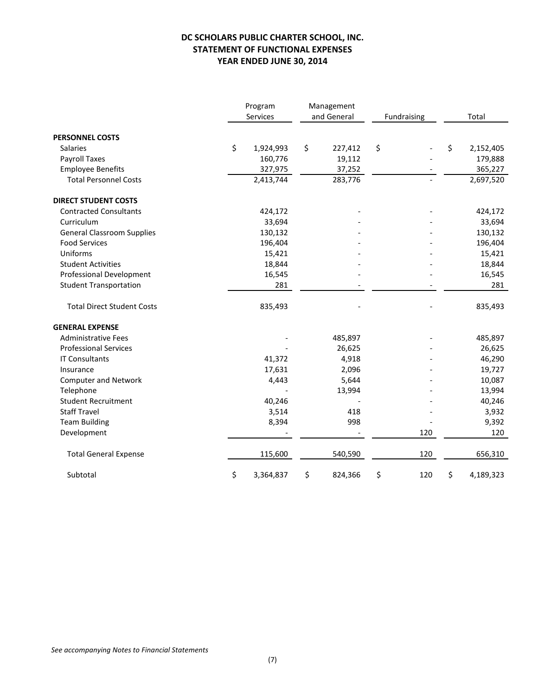# **DC SCHOLARS PUBLIC CHARTER SCHOOL, INC. STATEMENT OF FUNCTIONAL EXPENSES YEAR ENDED JUNE 30, 2014**

|                                   | Program |           | Management  |         |    |             |    |           |
|-----------------------------------|---------|-----------|-------------|---------|----|-------------|----|-----------|
|                                   |         | Services  | and General |         |    | Fundraising |    | Total     |
| <b>PERSONNEL COSTS</b>            |         |           |             |         |    |             |    |           |
| Salaries                          | \$      | 1,924,993 | \$          | 227,412 | \$ |             | \$ | 2,152,405 |
| Payroll Taxes                     |         | 160,776   |             | 19,112  |    |             |    | 179,888   |
| <b>Employee Benefits</b>          |         | 327,975   |             | 37,252  |    |             |    | 365,227   |
| <b>Total Personnel Costs</b>      |         | 2,413,744 |             | 283,776 |    |             |    | 2,697,520 |
| <b>DIRECT STUDENT COSTS</b>       |         |           |             |         |    |             |    |           |
| <b>Contracted Consultants</b>     |         | 424,172   |             |         |    |             |    | 424,172   |
| Curriculum                        |         | 33,694    |             |         |    |             |    | 33,694    |
| <b>General Classroom Supplies</b> |         | 130,132   |             |         |    |             |    | 130,132   |
| <b>Food Services</b>              |         | 196,404   |             |         |    |             |    | 196,404   |
| Uniforms                          |         | 15,421    |             |         |    |             |    | 15,421    |
| <b>Student Activities</b>         |         | 18,844    |             |         |    |             |    | 18,844    |
| Professional Development          |         | 16,545    |             |         |    |             |    | 16,545    |
| <b>Student Transportation</b>     |         | 281       |             |         |    |             |    | 281       |
| <b>Total Direct Student Costs</b> |         | 835,493   |             |         |    |             |    | 835,493   |
| <b>GENERAL EXPENSE</b>            |         |           |             |         |    |             |    |           |
| <b>Administrative Fees</b>        |         |           |             | 485,897 |    |             |    | 485,897   |
| <b>Professional Services</b>      |         |           |             | 26,625  |    |             |    | 26,625    |
| <b>IT Consultants</b>             |         | 41,372    |             | 4,918   |    |             |    | 46,290    |
| Insurance                         |         | 17,631    |             | 2,096   |    |             |    | 19,727    |
| <b>Computer and Network</b>       |         | 4,443     |             | 5,644   |    |             |    | 10,087    |
| Telephone                         |         |           |             | 13,994  |    |             |    | 13,994    |
| <b>Student Recruitment</b>        |         | 40,246    |             |         |    |             |    | 40,246    |
| <b>Staff Travel</b>               |         | 3,514     |             | 418     |    |             |    | 3,932     |
| <b>Team Building</b>              |         | 8,394     |             | 998     |    |             |    | 9,392     |
| Development                       |         |           |             |         |    | 120         |    | 120       |
| <b>Total General Expense</b>      |         | 115,600   |             | 540,590 |    | 120         |    | 656,310   |
| Subtotal                          | \$      | 3,364,837 | \$          | 824,366 | \$ | 120         | \$ | 4,189,323 |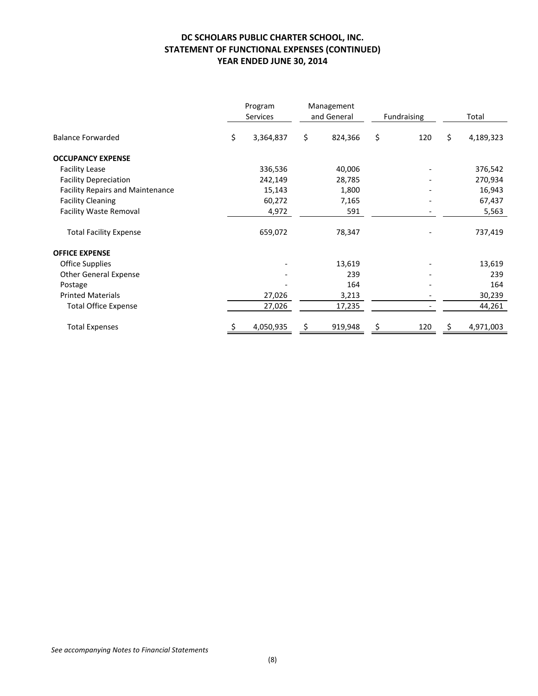# **DC SCHOLARS PUBLIC CHARTER SCHOOL, INC. STATEMENT OF FUNCTIONAL EXPENSES (CONTINUED) YEAR ENDED JUNE 30, 2014**

|                                         | Program<br><b>Services</b> |    | Management<br>and General | Fundraising |    | Total     |
|-----------------------------------------|----------------------------|----|---------------------------|-------------|----|-----------|
| <b>Balance Forwarded</b>                | \$<br>3,364,837            | \$ | 824,366                   | \$<br>120   | \$ | 4,189,323 |
| <b>OCCUPANCY EXPENSE</b>                |                            |    |                           |             |    |           |
| <b>Facility Lease</b>                   | 336,536                    |    | 40,006                    |             |    | 376,542   |
| <b>Facility Depreciation</b>            | 242,149                    |    | 28,785                    |             |    | 270,934   |
| <b>Facility Repairs and Maintenance</b> | 15,143                     |    | 1,800                     |             |    | 16,943    |
| <b>Facility Cleaning</b>                | 60,272                     |    | 7,165                     |             |    | 67,437    |
| <b>Facility Waste Removal</b>           | 4,972                      |    | 591                       |             |    | 5,563     |
| <b>Total Facility Expense</b>           | 659,072                    |    | 78,347                    |             |    | 737,419   |
| <b>OFFICE EXPENSE</b>                   |                            |    |                           |             |    |           |
| Office Supplies                         |                            |    | 13,619                    |             |    | 13,619    |
| <b>Other General Expense</b>            |                            |    | 239                       |             |    | 239       |
| Postage                                 |                            |    | 164                       |             |    | 164       |
| <b>Printed Materials</b>                | 27,026                     |    | 3,213                     |             |    | 30,239    |
| <b>Total Office Expense</b>             | 27,026                     |    | 17,235                    |             |    | 44,261    |
| <b>Total Expenses</b>                   | 4,050,935                  | S  | 919,948                   | 120         | S  | 4,971,003 |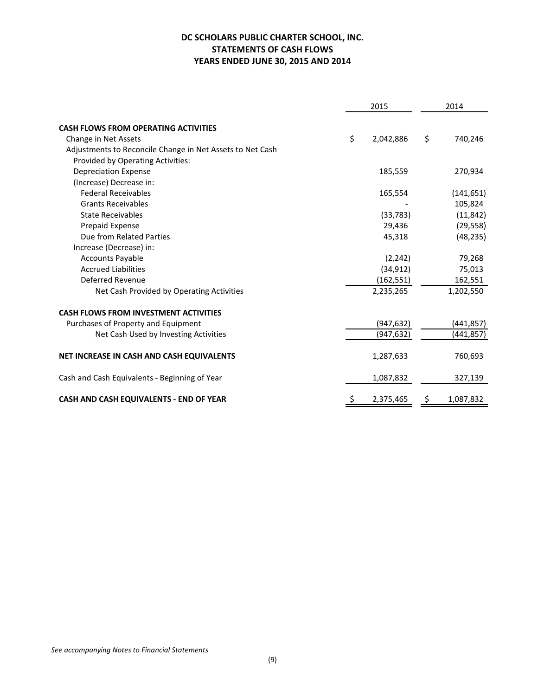# **DC SCHOLARS PUBLIC CHARTER SCHOOL, INC. STATEMENTS OF CASH FLOWS YEARS ENDED JUNE 30, 2015 AND 2014**

|                                                           |    | 2015       | 2014 |            |
|-----------------------------------------------------------|----|------------|------|------------|
|                                                           |    |            |      |            |
| <b>CASH FLOWS FROM OPERATING ACTIVITIES</b>               |    |            |      |            |
| Change in Net Assets                                      | \$ | 2,042,886  | \$   | 740,246    |
| Adjustments to Reconcile Change in Net Assets to Net Cash |    |            |      |            |
| Provided by Operating Activities:                         |    |            |      |            |
| <b>Depreciation Expense</b>                               |    | 185,559    |      | 270,934    |
| (Increase) Decrease in:                                   |    |            |      |            |
| <b>Federal Receivables</b>                                |    | 165,554    |      | (141, 651) |
| <b>Grants Receivables</b>                                 |    |            |      | 105,824    |
| <b>State Receivables</b>                                  |    | (33, 783)  |      | (11, 842)  |
| Prepaid Expense                                           |    | 29,436     |      | (29, 558)  |
| Due from Related Parties                                  |    | 45,318     |      | (48, 235)  |
| Increase (Decrease) in:                                   |    |            |      |            |
| <b>Accounts Payable</b>                                   |    | (2, 242)   |      | 79,268     |
| <b>Accrued Liabilities</b>                                |    | (34, 912)  |      | 75,013     |
| Deferred Revenue                                          |    | (162, 551) |      | 162,551    |
| Net Cash Provided by Operating Activities                 |    | 2,235,265  |      | 1,202,550  |
| <b>CASH FLOWS FROM INVESTMENT ACTIVITIES</b>              |    |            |      |            |
| Purchases of Property and Equipment                       |    | (947, 632) |      | (441,857)  |
| Net Cash Used by Investing Activities                     |    | (947, 632) |      | (441,857)  |
| NET INCREASE IN CASH AND CASH EQUIVALENTS                 |    | 1,287,633  |      | 760,693    |
| Cash and Cash Equivalents - Beginning of Year             |    | 1,087,832  |      | 327,139    |
| CASH AND CASH EQUIVALENTS - END OF YEAR                   | Ş  | 2,375,465  | Ş    | 1,087,832  |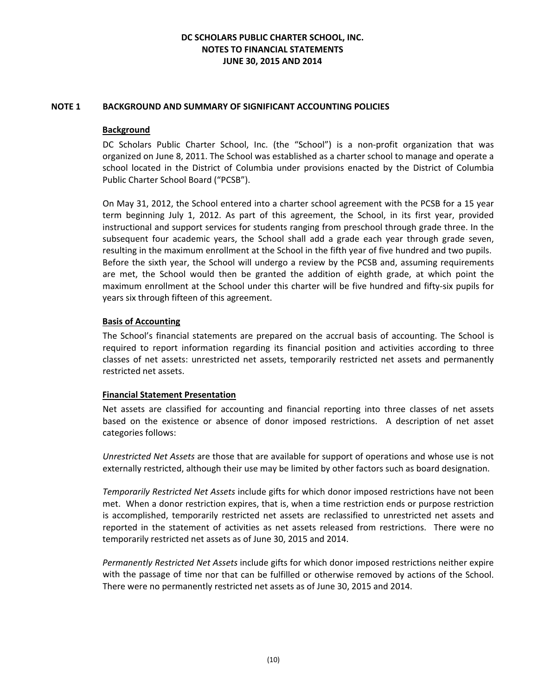#### **NOTE 1 BACKGROUND AND SUMMARY OF SIGNIFICANT ACCOUNTING POLICIES**

#### **Background**

DC Scholars Public Charter School, Inc. (the "School") is a non-profit organization that was organized on June 8, 2011. The School was established as a charter school to manage and operate a school located in the District of Columbia under provisions enacted by the District of Columbia Public Charter School Board ("PCSB").

On May 31, 2012, the School entered into a charter school agreement with the PCSB for a 15 year term beginning July 1, 2012. As part of this agreement, the School, in its first year, provided instructional and support services for students ranging from preschool through grade three. In the subsequent four academic years, the School shall add a grade each year through grade seven, resulting in the maximum enrollment at the School in the fifth year of five hundred and two pupils. Before the sixth year, the School will undergo a review by the PCSB and, assuming requirements are met, the School would then be granted the addition of eighth grade, at which point the maximum enrollment at the School under this charter will be five hundred and fifty-six pupils for years six through fifteen of this agreement.

### **Basis of Accounting**

The School's financial statements are prepared on the accrual basis of accounting. The School is required to report information regarding its financial position and activities according to three classes of net assets: unrestricted net assets, temporarily restricted net assets and permanently restricted net assets.

### **Financial Statement Presentation**

Net assets are classified for accounting and financial reporting into three classes of net assets based on the existence or absence of donor imposed restrictions. A description of net asset categories follows:

*Unrestricted Net Assets* are those that are available for support of operations and whose use is not externally restricted, although their use may be limited by other factors such as board designation.

*Temporarily Restricted Net Assets* include gifts for which donor imposed restrictions have not been met. When a donor restriction expires, that is, when a time restriction ends or purpose restriction is accomplished, temporarily restricted net assets are reclassified to unrestricted net assets and reported in the statement of activities as net assets released from restrictions. There were no temporarily restricted net assets as of June 30, 2015 and 2014.

*Permanently Restricted Net Assets* include gifts for which donor imposed restrictions neither expire with the passage of time nor that can be fulfilled or otherwise removed by actions of the School. There were no permanently restricted net assets as of June 30, 2015 and 2014.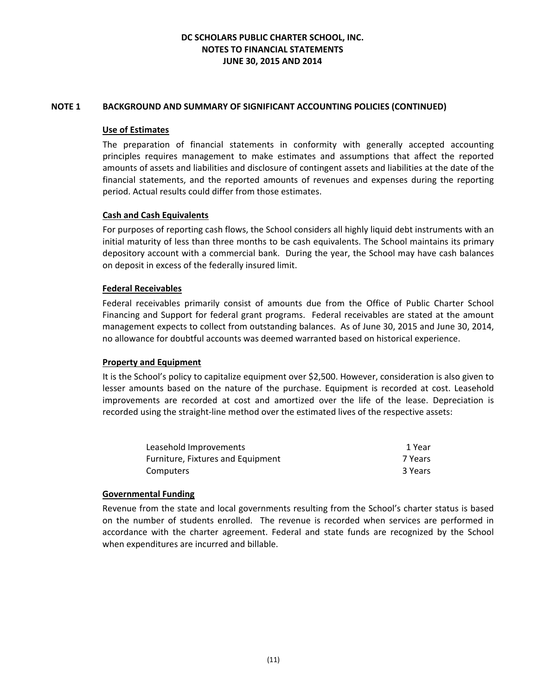#### **NOTE 1 BACKGROUND AND SUMMARY OF SIGNIFICANT ACCOUNTING POLICIES (CONTINUED)**

#### **Use of Estimates**

The preparation of financial statements in conformity with generally accepted accounting principles requires management to make estimates and assumptions that affect the reported amounts of assets and liabilities and disclosure of contingent assets and liabilities at the date of the financial statements, and the reported amounts of revenues and expenses during the reporting period. Actual results could differ from those estimates.

### **Cash and Cash Equivalents**

For purposes of reporting cash flows, the School considers all highly liquid debt instruments with an initial maturity of less than three months to be cash equivalents. The School maintains its primary depository account with a commercial bank. During the year, the School may have cash balances on deposit in excess of the federally insured limit.

### **Federal Receivables**

Federal receivables primarily consist of amounts due from the Office of Public Charter School Financing and Support for federal grant programs. Federal receivables are stated at the amount management expects to collect from outstanding balances. As of June 30, 2015 and June 30, 2014, no allowance for doubtful accounts was deemed warranted based on historical experience.

### **Property and Equipment**

It is the School's policy to capitalize equipment over \$2,500. However, consideration is also given to lesser amounts based on the nature of the purchase. Equipment is recorded at cost. Leasehold improvements are recorded at cost and amortized over the life of the lease. Depreciation is recorded using the straight‐line method over the estimated lives of the respective assets:

| Leasehold Improvements            | 1 Year  |
|-----------------------------------|---------|
| Furniture, Fixtures and Equipment | 7 Years |
| Computers                         | 3 Years |

#### **Governmental Funding**

Revenue from the state and local governments resulting from the School's charter status is based on the number of students enrolled. The revenue is recorded when services are performed in accordance with the charter agreement. Federal and state funds are recognized by the School when expenditures are incurred and billable.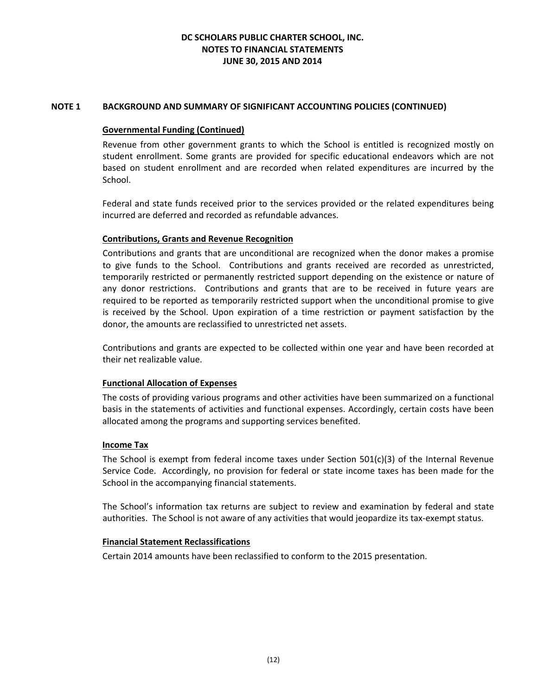#### **NOTE 1 BACKGROUND AND SUMMARY OF SIGNIFICANT ACCOUNTING POLICIES (CONTINUED)**

### **Governmental Funding (Continued)**

Revenue from other government grants to which the School is entitled is recognized mostly on student enrollment. Some grants are provided for specific educational endeavors which are not based on student enrollment and are recorded when related expenditures are incurred by the School.

Federal and state funds received prior to the services provided or the related expenditures being incurred are deferred and recorded as refundable advances.

### **Contributions, Grants and Revenue Recognition**

Contributions and grants that are unconditional are recognized when the donor makes a promise to give funds to the School. Contributions and grants received are recorded as unrestricted, temporarily restricted or permanently restricted support depending on the existence or nature of any donor restrictions. Contributions and grants that are to be received in future years are required to be reported as temporarily restricted support when the unconditional promise to give is received by the School. Upon expiration of a time restriction or payment satisfaction by the donor, the amounts are reclassified to unrestricted net assets.

Contributions and grants are expected to be collected within one year and have been recorded at their net realizable value.

### **Functional Allocation of Expenses**

The costs of providing various programs and other activities have been summarized on a functional basis in the statements of activities and functional expenses. Accordingly, certain costs have been allocated among the programs and supporting services benefited.

#### **Income Tax**

The School is exempt from federal income taxes under Section  $501(c)(3)$  of the Internal Revenue Service Code. Accordingly, no provision for federal or state income taxes has been made for the School in the accompanying financial statements.

The School's information tax returns are subject to review and examination by federal and state authorities. The School is not aware of any activities that would jeopardize its tax-exempt status.

### **Financial Statement Reclassifications**

Certain 2014 amounts have been reclassified to conform to the 2015 presentation.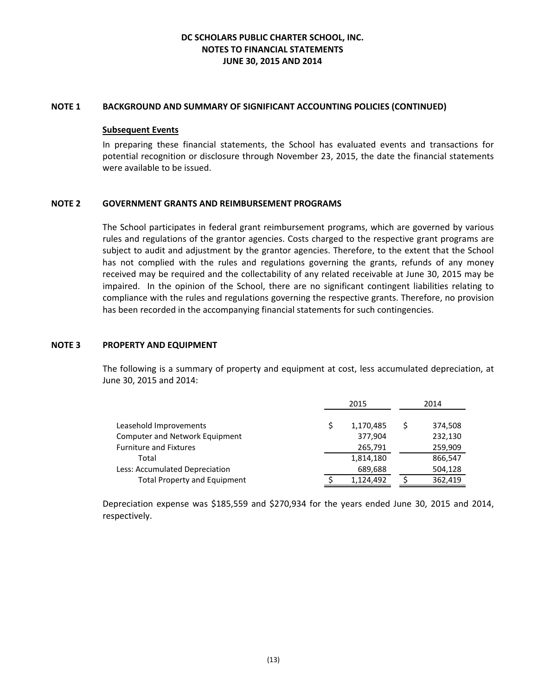#### **NOTE 1 BACKGROUND AND SUMMARY OF SIGNIFICANT ACCOUNTING POLICIES (CONTINUED)**

### **Subsequent Events**

In preparing these financial statements, the School has evaluated events and transactions for potential recognition or disclosure through November 23, 2015, the date the financial statements were available to be issued.

### **NOTE 2 GOVERNMENT GRANTS AND REIMBURSEMENT PROGRAMS**

The School participates in federal grant reimbursement programs, which are governed by various rules and regulations of the grantor agencies. Costs charged to the respective grant programs are subject to audit and adjustment by the grantor agencies. Therefore, to the extent that the School has not complied with the rules and regulations governing the grants, refunds of any money received may be required and the collectability of any related receivable at June 30, 2015 may be impaired. In the opinion of the School, there are no significant contingent liabilities relating to compliance with the rules and regulations governing the respective grants. Therefore, no provision has been recorded in the accompanying financial statements for such contingencies.

### **NOTE 3 PROPERTY AND EQUIPMENT**

The following is a summary of property and equipment at cost, less accumulated depreciation, at June 30, 2015 and 2014:

|                                     | 2015      |  | 2014    |
|-------------------------------------|-----------|--|---------|
| Leasehold Improvements              | 1,170,485 |  | 374,508 |
| Computer and Network Equipment      | 377,904   |  | 232,130 |
| <b>Furniture and Fixtures</b>       | 265,791   |  | 259,909 |
| Total                               | 1,814,180 |  | 866,547 |
| Less: Accumulated Depreciation      | 689,688   |  | 504,128 |
| <b>Total Property and Equipment</b> | 1,124,492 |  | 362,419 |

Depreciation expense was \$185,559 and \$270,934 for the years ended June 30, 2015 and 2014, respectively.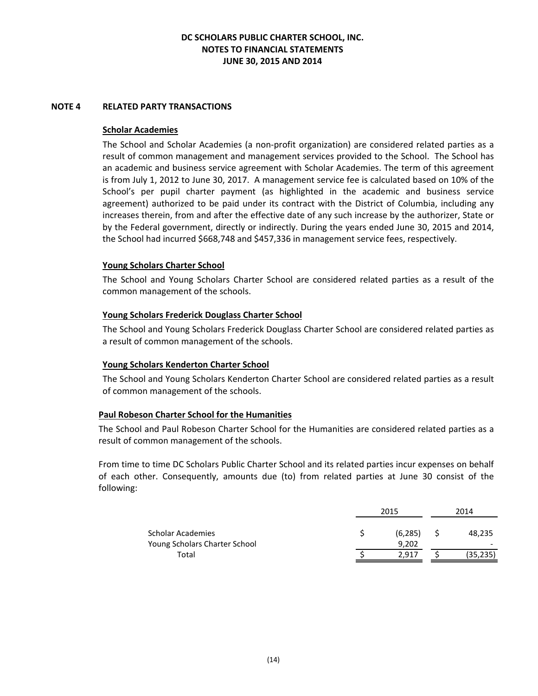#### **NOTE 4 RELATED PARTY TRANSACTIONS**

#### **Scholar Academies**

The School and Scholar Academies (a non‐profit organization) are considered related parties as a result of common management and management services provided to the School. The School has an academic and business service agreement with Scholar Academies. The term of this agreement is from July 1, 2012 to June 30, 2017. A management service fee is calculated based on 10% of the School's per pupil charter payment (as highlighted in the academic and business service agreement) authorized to be paid under its contract with the District of Columbia, including any increases therein, from and after the effective date of any such increase by the authorizer, State or by the Federal government, directly or indirectly. During the years ended June 30, 2015 and 2014, the School had incurred \$668,748 and \$457,336 in management service fees, respectively.

### **Young Scholars Charter School**

The School and Young Scholars Charter School are considered related parties as a result of the common management of the schools.

#### **Young Scholars Frederick Douglass Charter School**

The School and Young Scholars Frederick Douglass Charter School are considered related parties as a result of common management of the schools.

### **Young Scholars Kenderton Charter School**

The School and Young Scholars Kenderton Charter School are considered related parties as a result of common management of the schools.

### **Paul Robeson Charter School for the Humanities**

The School and Paul Robeson Charter School for the Humanities are considered related parties as a result of common management of the schools.

From time to time DC Scholars Public Charter School and its related parties incur expenses on behalf of each other. Consequently, amounts due (to) from related parties at June 30 consist of the following:

|                                                           | 2015              | 2014 |             |  |
|-----------------------------------------------------------|-------------------|------|-------------|--|
| <b>Scholar Academies</b><br>Young Scholars Charter School | (6, 285)<br>9,202 |      | 48,235<br>۰ |  |
| Total                                                     | 2.917             |      | (35,235)    |  |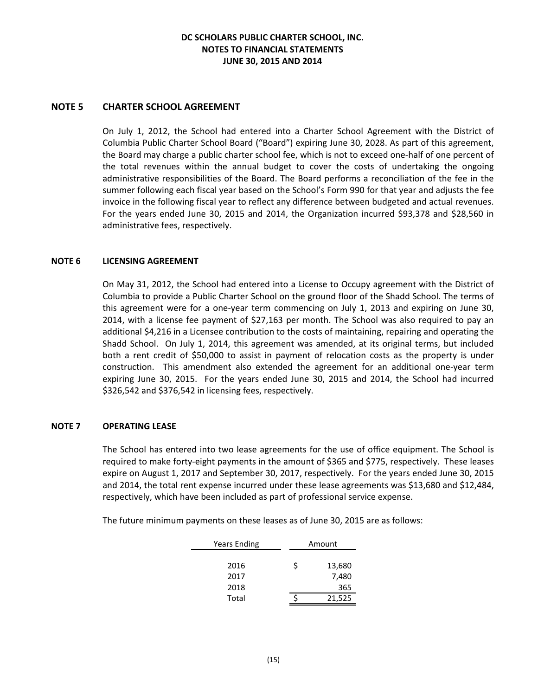#### **NOTE 5 CHARTER SCHOOL AGREEMENT**

On July 1, 2012, the School had entered into a Charter School Agreement with the District of Columbia Public Charter School Board ("Board") expiring June 30, 2028. As part of this agreement, the Board may charge a public charter school fee, which is not to exceed one‐half of one percent of the total revenues within the annual budget to cover the costs of undertaking the ongoing administrative responsibilities of the Board. The Board performs a reconciliation of the fee in the summer following each fiscal year based on the School's Form 990 for that year and adjusts the fee invoice in the following fiscal year to reflect any difference between budgeted and actual revenues. For the years ended June 30, 2015 and 2014, the Organization incurred \$93,378 and \$28,560 in administrative fees, respectively.

#### **NOTE 6 LICENSING AGREEMENT**

On May 31, 2012, the School had entered into a License to Occupy agreement with the District of Columbia to provide a Public Charter School on the ground floor of the Shadd School. The terms of this agreement were for a one‐year term commencing on July 1, 2013 and expiring on June 30, 2014, with a license fee payment of \$27,163 per month. The School was also required to pay an additional \$4,216 in a Licensee contribution to the costs of maintaining, repairing and operating the Shadd School. On July 1, 2014, this agreement was amended, at its original terms, but included both a rent credit of \$50,000 to assist in payment of relocation costs as the property is under construction. This amendment also extended the agreement for an additional one-year term expiring June 30, 2015. For the years ended June 30, 2015 and 2014, the School had incurred \$326,542 and \$376,542 in licensing fees, respectively.

#### **NOTE 7 OPERATING LEASE**

The School has entered into two lease agreements for the use of office equipment. The School is required to make forty‐eight payments in the amount of \$365 and \$775, respectively. These leases expire on August 1, 2017 and September 30, 2017, respectively. For the years ended June 30, 2015 and 2014, the total rent expense incurred under these lease agreements was \$13,680 and \$12,484, respectively, which have been included as part of professional service expense.

The future minimum payments on these leases as of June 30, 2015 are as follows:

| <b>Years Ending</b> |   | Amount |
|---------------------|---|--------|
|                     |   |        |
| 2016                | Ś | 13,680 |
| 2017                |   | 7,480  |
| 2018                |   | 365    |
| Total               |   | 21,525 |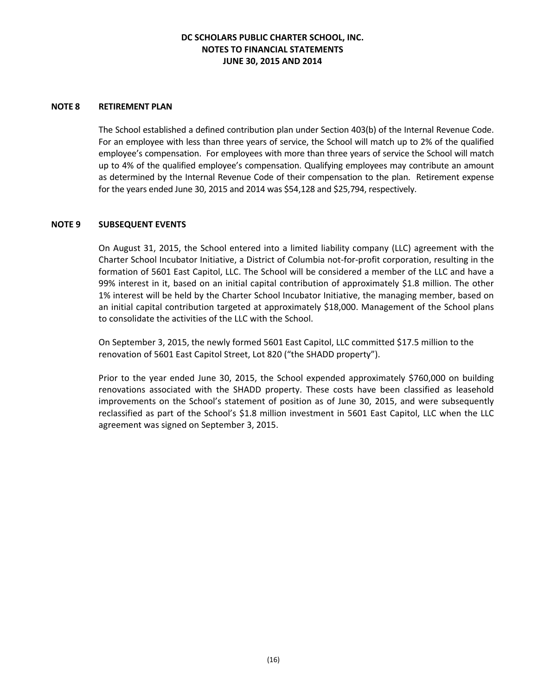#### **NOTE 8 RETIREMENT PLAN**

 The School established a defined contribution plan under Section 403(b) of the Internal Revenue Code. For an employee with less than three years of service, the School will match up to 2% of the qualified employee's compensation. For employees with more than three years of service the School will match up to 4% of the qualified employee's compensation. Qualifying employees may contribute an amount as determined by the Internal Revenue Code of their compensation to the plan. Retirement expense for the years ended June 30, 2015 and 2014 was \$54,128 and \$25,794, respectively.

#### **NOTE 9 SUBSEQUENT EVENTS**

On August 31, 2015, the School entered into a limited liability company (LLC) agreement with the Charter School Incubator Initiative, a District of Columbia not‐for‐profit corporation, resulting in the formation of 5601 East Capitol, LLC. The School will be considered a member of the LLC and have a 99% interest in it, based on an initial capital contribution of approximately \$1.8 million. The other 1% interest will be held by the Charter School Incubator Initiative, the managing member, based on an initial capital contribution targeted at approximately \$18,000. Management of the School plans to consolidate the activities of the LLC with the School.

On September 3, 2015, the newly formed 5601 East Capitol, LLC committed \$17.5 million to the renovation of 5601 East Capitol Street, Lot 820 ("the SHADD property").

Prior to the year ended June 30, 2015, the School expended approximately \$760,000 on building renovations associated with the SHADD property. These costs have been classified as leasehold improvements on the School's statement of position as of June 30, 2015, and were subsequently reclassified as part of the School's \$1.8 million investment in 5601 East Capitol, LLC when the LLC agreement was signed on September 3, 2015.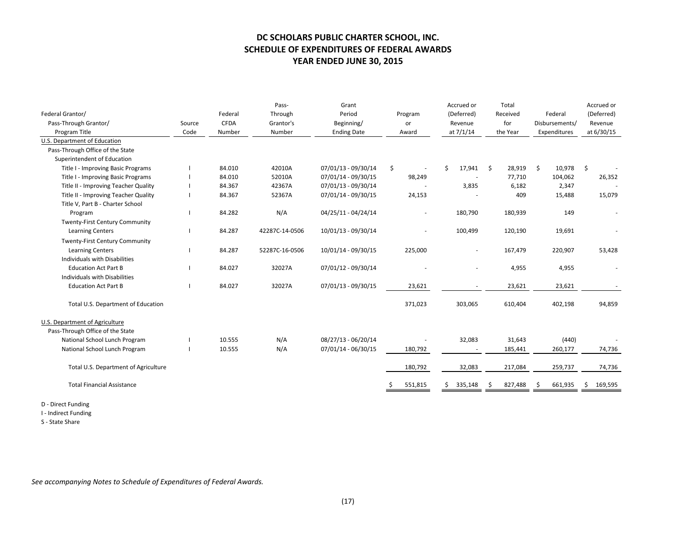## **DC SCHOLARS PUBLIC CHARTER SCHOOL, INC. SCHEDULE OF EXPENDITURES OF FEDERAL AWARDS YEAR ENDED JUNE 30, 2015**

|                                      |        |             | Pass-          | Grant               |         |            | Accrued or |          | Total   |                |         |    | Accrued or |
|--------------------------------------|--------|-------------|----------------|---------------------|---------|------------|------------|----------|---------|----------------|---------|----|------------|
| Federal Grantor/                     |        | Federal     | Through        | Period              | Program | (Deferred) |            | Received |         | Federal        |         |    | (Deferred) |
| Pass-Through Grantor/                | Source | <b>CFDA</b> | Grantor's      | Beginning/          | or      | Revenue    |            | for      |         | Disbursements/ |         |    | Revenue    |
| Program Title                        | Code   | Number      | Number         | <b>Ending Date</b>  | Award   | at 7/1/14  |            | the Year |         | Expenditures   |         |    | at 6/30/15 |
| U.S. Department of Education         |        |             |                |                     |         |            |            |          |         |                |         |    |            |
| Pass-Through Office of the State     |        |             |                |                     |         |            |            |          |         |                |         |    |            |
| Superintendent of Education          |        |             |                |                     |         |            |            |          |         |                |         |    |            |
| Title I - Improving Basic Programs   |        | 84.010      | 42010A         | 07/01/13 - 09/30/14 | \$      | Ś.         | 17,941     | - \$     | 28,919  | - \$           | 10,978  | \$ |            |
| Title I - Improving Basic Programs   |        | 84.010      | 52010A         | 07/01/14 - 09/30/15 | 98,249  |            |            |          | 77,710  |                | 104,062 |    | 26,352     |
| Title II - Improving Teacher Quality |        | 84.367      | 42367A         | 07/01/13 - 09/30/14 |         |            | 3,835      |          | 6,182   |                | 2,347   |    |            |
| Title II - Improving Teacher Quality |        | 84.367      | 52367A         | 07/01/14 - 09/30/15 | 24,153  |            |            |          | 409     |                | 15,488  |    | 15,079     |
| Title V, Part B - Charter School     |        |             |                |                     |         |            |            |          |         |                |         |    |            |
| Program                              |        | 84.282      | N/A            | 04/25/11 - 04/24/14 |         |            | 180,790    |          | 180,939 |                | 149     |    |            |
| Twenty-First Century Community       |        |             |                |                     |         |            |            |          |         |                |         |    |            |
| <b>Learning Centers</b>              |        | 84.287      | 42287C-14-0506 | 10/01/13 - 09/30/14 | ٠       |            | 100,499    |          | 120,190 |                | 19,691  |    |            |
| Twenty-First Century Community       |        |             |                |                     |         |            |            |          |         |                |         |    |            |
| <b>Learning Centers</b>              |        | 84.287      | 52287C-16-0506 | 10/01/14 - 09/30/15 | 225,000 |            |            |          | 167,479 |                | 220,907 |    | 53,428     |
| Individuals with Disabilities        |        |             |                |                     |         |            |            |          |         |                |         |    |            |
| <b>Education Act Part B</b>          |        | 84.027      | 32027A         | 07/01/12 - 09/30/14 |         |            |            |          | 4,955   |                | 4,955   |    |            |
| Individuals with Disabilities        |        |             |                |                     |         |            |            |          |         |                |         |    |            |
| <b>Education Act Part B</b>          |        | 84.027      | 32027A         | 07/01/13 - 09/30/15 | 23,621  |            |            |          | 23,621  |                | 23,621  |    |            |
|                                      |        |             |                |                     |         |            |            |          |         |                |         |    |            |
| Total U.S. Department of Education   |        |             |                |                     | 371,023 |            | 303,065    |          | 610,404 |                | 402,198 |    | 94,859     |
| U.S. Department of Agriculture       |        |             |                |                     |         |            |            |          |         |                |         |    |            |
| Pass-Through Office of the State     |        |             |                |                     |         |            |            |          |         |                |         |    |            |
| National School Lunch Program        |        | 10.555      | N/A            | 08/27/13 - 06/20/14 |         |            | 32,083     |          | 31,643  |                | (440)   |    |            |
| National School Lunch Program        |        | 10.555      | N/A            | 07/01/14 - 06/30/15 | 180,792 |            |            |          | 185,441 |                | 260,177 |    | 74,736     |
|                                      |        |             |                |                     |         |            |            |          |         |                |         |    |            |
| Total U.S. Department of Agriculture |        |             |                |                     | 180,792 |            | 32,083     |          | 217,084 |                | 259,737 |    | 74,736     |
|                                      |        |             |                |                     |         |            |            |          |         |                |         |    |            |
| <b>Total Financial Assistance</b>    |        |             |                |                     | 551,815 |            | 335,148    |          | 827,488 |                | 661,935 | -Ş | 169,595    |
|                                      |        |             |                |                     |         |            |            |          |         |                |         |    |            |

D ‐ Direct Funding

I ‐ Indirect Funding

S ‐ State Share

*See accompanying Notes to Schedule of Expenditures of Federal Awards.*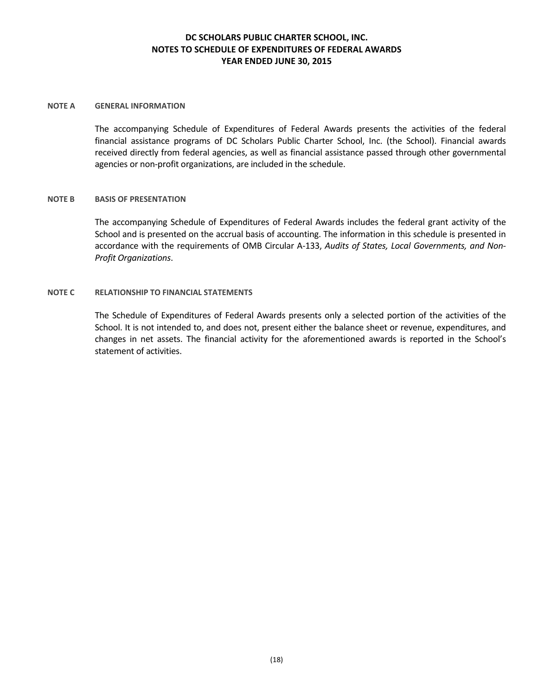# **DC SCHOLARS PUBLIC CHARTER SCHOOL, INC. NOTES TO SCHEDULE OF EXPENDITURES OF FEDERAL AWARDS YEAR ENDED JUNE 30, 2015**

#### **NOTE A GENERAL INFORMATION**

The accompanying Schedule of Expenditures of Federal Awards presents the activities of the federal financial assistance programs of DC Scholars Public Charter School, Inc. (the School). Financial awards received directly from federal agencies, as well as financial assistance passed through other governmental agencies or non‐profit organizations, are included in the schedule.

#### **NOTE B BASIS OF PRESENTATION**

The accompanying Schedule of Expenditures of Federal Awards includes the federal grant activity of the School and is presented on the accrual basis of accounting. The information in this schedule is presented in accordance with the requirements of OMB Circular A‐133, *Audits of States, Local Governments, and Non‐ Profit Organizations*.

#### **NOTE C RELATIONSHIP TO FINANCIAL STATEMENTS**

The Schedule of Expenditures of Federal Awards presents only a selected portion of the activities of the School. It is not intended to, and does not, present either the balance sheet or revenue, expenditures, and changes in net assets. The financial activity for the aforementioned awards is reported in the School's statement of activities.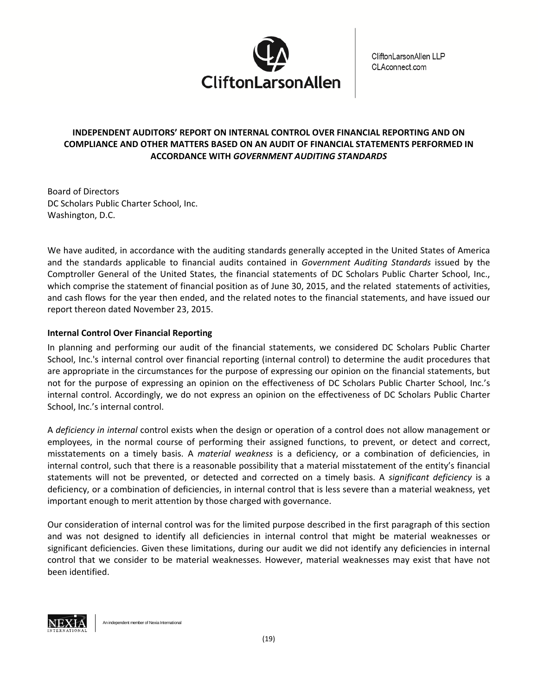

CliftonLarsonAllen LLP CLAconnect.com

# **INDEPENDENT AUDITORS' REPORT ON INTERNAL CONTROL OVER FINANCIAL REPORTING AND ON COMPLIANCE AND OTHER MATTERS BASED ON AN AUDIT OF FINANCIAL STATEMENTS PERFORMED IN ACCORDANCE WITH** *GOVERNMENT AUDITING STANDARDS*

Board of Directors DC Scholars Public Charter School, Inc. Washington, D.C.

We have audited, in accordance with the auditing standards generally accepted in the United States of America and the standards applicable to financial audits contained in *Government Auditing Standards* issued by the Comptroller General of the United States, the financial statements of DC Scholars Public Charter School, Inc., which comprise the statement of financial position as of June 30, 2015, and the related statements of activities, and cash flows for the year then ended, and the related notes to the financial statements, and have issued our report thereon dated November 23, 2015.

### **Internal Control Over Financial Reporting**

In planning and performing our audit of the financial statements, we considered DC Scholars Public Charter School, Inc.'s internal control over financial reporting (internal control) to determine the audit procedures that are appropriate in the circumstances for the purpose of expressing our opinion on the financial statements, but not for the purpose of expressing an opinion on the effectiveness of DC Scholars Public Charter School, Inc.'s internal control. Accordingly, we do not express an opinion on the effectiveness of DC Scholars Public Charter School, Inc.'s internal control.

A *deficiency in internal* control exists when the design or operation of a control does not allow management or employees, in the normal course of performing their assigned functions, to prevent, or detect and correct, misstatements on a timely basis. A *material weakness* is a deficiency, or a combination of deficiencies, in internal control, such that there is a reasonable possibility that a material misstatement of the entity's financial statements will not be prevented, or detected and corrected on a timely basis. A *significant deficiency* is a deficiency, or a combination of deficiencies, in internal control that is less severe than a material weakness, yet important enough to merit attention by those charged with governance.

Our consideration of internal control was for the limited purpose described in the first paragraph of this section and was not designed to identify all deficiencies in internal control that might be material weaknesses or significant deficiencies. Given these limitations, during our audit we did not identify any deficiencies in internal control that we consider to be material weaknesses. However, material weaknesses may exist that have not been identified.



An independent member of Nexia International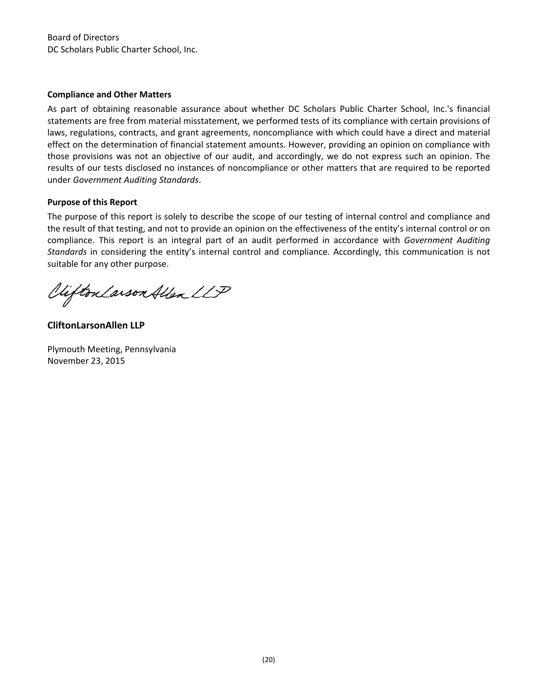Board of Directors DC Scholars Public Charter School, Inc.

#### **Compliance and Other Matters**

As part of obtaining reasonable assurance about whether DC Scholars Public Charter School, Inc.'s financial statements are free from material misstatement, we performed tests of its compliance with certain provisions of laws, regulations, contracts, and grant agreements, noncompliance with which could have a direct and material effect on the determination of financial statement amounts. However, providing an opinion on compliance with those provisions was not an objective of our audit, and accordingly, we do not express such an opinion. The results of our tests disclosed no instances of noncompliance or other matters that are required to be reported under *Government Auditing Standards*.

#### **Purpose of this Report**

The purpose of this report is solely to describe the scope of our testing of internal control and compliance and the result of that testing, and not to provide an opinion on the effectiveness of the entity's internal control or on compliance. This report is an integral part of an audit performed in accordance with *Government Auditing Standards* in considering the entity's internal control and compliance. Accordingly, this communication is not suitable for any other purpose.

Viifton Larson Allen LLP

**CliftonLarsonAllen LLP**

Plymouth Meeting, Pennsylvania November 23, 2015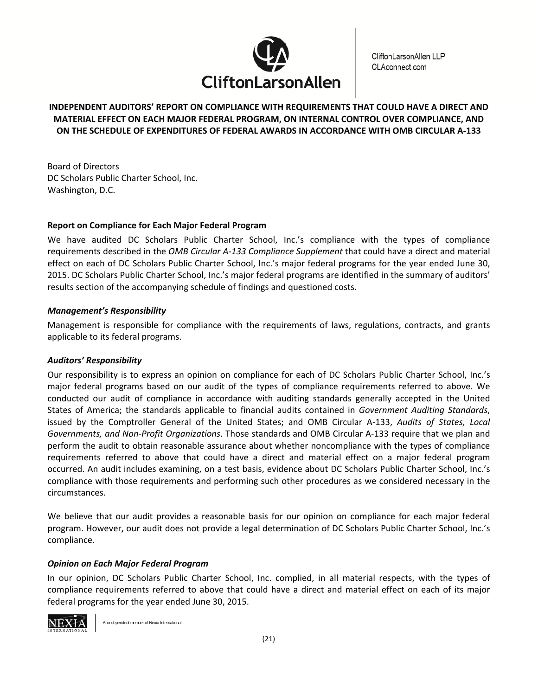

CliftonLarsonAllen LLP CLAconnect.com

# **INDEPENDENT AUDITORS' REPORT ON COMPLIANCE WITH REQUIREMENTS THAT COULD HAVE A DIRECT AND MATERIAL EFFECT ON EACH MAJOR FEDERAL PROGRAM, ON INTERNAL CONTROL OVER COMPLIANCE, AND ON THE SCHEDULE OF EXPENDITURES OF FEDERAL AWARDS IN ACCORDANCE WITH OMB CIRCULAR A‐133**

Board of Directors DC Scholars Public Charter School, Inc. Washington, D.C.

#### **Report on Compliance for Each Major Federal Program**

We have audited DC Scholars Public Charter School, Inc.'s compliance with the types of compliance requirements described in the *OMB Circular A‐133 Compliance Supplement* that could have a direct and material effect on each of DC Scholars Public Charter School, Inc.'s major federal programs for the year ended June 30, 2015. DC Scholars Public Charter School, Inc.'s major federal programs are identified in the summary of auditors' results section of the accompanying schedule of findings and questioned costs.

#### *Management's Responsibility*

Management is responsible for compliance with the requirements of laws, regulations, contracts, and grants applicable to its federal programs.

#### *Auditors' Responsibility*

Our responsibility is to express an opinion on compliance for each of DC Scholars Public Charter School, Inc.'s major federal programs based on our audit of the types of compliance requirements referred to above. We conducted our audit of compliance in accordance with auditing standards generally accepted in the United States of America; the standards applicable to financial audits contained in *Government Auditing Standards*, issued by the Comptroller General of the United States; and OMB Circular A‐133, *Audits of States, Local Governments, and Non‐Profit Organizations*. Those standards and OMB Circular A‐133 require that we plan and perform the audit to obtain reasonable assurance about whether noncompliance with the types of compliance requirements referred to above that could have a direct and material effect on a major federal program occurred. An audit includes examining, on a test basis, evidence about DC Scholars Public Charter School, Inc.'s compliance with those requirements and performing such other procedures as we considered necessary in the circumstances.

We believe that our audit provides a reasonable basis for our opinion on compliance for each major federal program. However, our audit does not provide a legal determination of DC Scholars Public Charter School, Inc.'s compliance.

#### *Opinion on Each Major Federal Program*

In our opinion, DC Scholars Public Charter School, Inc. complied, in all material respects, with the types of compliance requirements referred to above that could have a direct and material effect on each of its major federal programs for the year ended June 30, 2015.



An independent member of Nexia International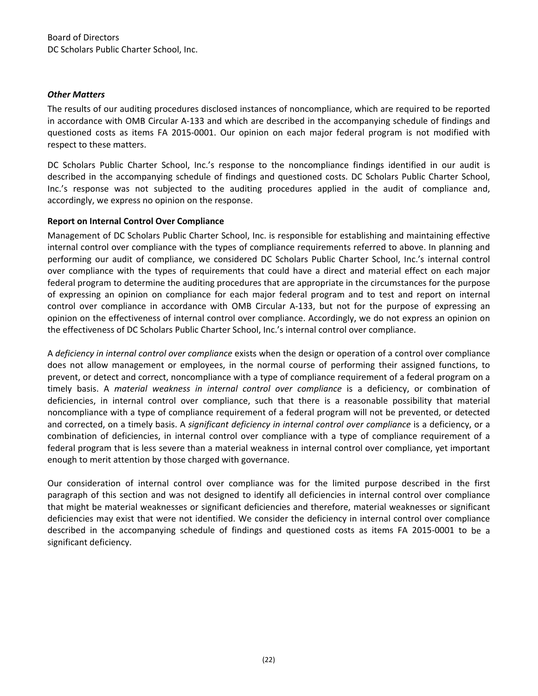### *Other Matters*

The results of our auditing procedures disclosed instances of noncompliance, which are required to be reported in accordance with OMB Circular A‐133 and which are described in the accompanying schedule of findings and questioned costs as items FA 2015‐0001. Our opinion on each major federal program is not modified with respect to these matters.

DC Scholars Public Charter School, Inc.'s response to the noncompliance findings identified in our audit is described in the accompanying schedule of findings and questioned costs. DC Scholars Public Charter School, Inc.'s response was not subjected to the auditing procedures applied in the audit of compliance and, accordingly, we express no opinion on the response.

# **Report on Internal Control Over Compliance**

Management of DC Scholars Public Charter School, Inc. is responsible for establishing and maintaining effective internal control over compliance with the types of compliance requirements referred to above. In planning and performing our audit of compliance, we considered DC Scholars Public Charter School, Inc.'s internal control over compliance with the types of requirements that could have a direct and material effect on each major federal program to determine the auditing procedures that are appropriate in the circumstances for the purpose of expressing an opinion on compliance for each major federal program and to test and report on internal control over compliance in accordance with OMB Circular A‐133, but not for the purpose of expressing an opinion on the effectiveness of internal control over compliance. Accordingly, we do not express an opinion on the effectiveness of DC Scholars Public Charter School, Inc.'s internal control over compliance.

A *deficiency in internal control over compliance* exists when the design or operation of a control over compliance does not allow management or employees, in the normal course of performing their assigned functions, to prevent, or detect and correct, noncompliance with a type of compliance requirement of a federal program on a timely basis. A *material weakness in internal control over compliance* is a deficiency, or combination of deficiencies, in internal control over compliance, such that there is a reasonable possibility that material noncompliance with a type of compliance requirement of a federal program will not be prevented, or detected and corrected, on a timely basis. A *significant deficiency in internal control over compliance* is a deficiency, or a combination of deficiencies, in internal control over compliance with a type of compliance requirement of a federal program that is less severe than a material weakness in internal control over compliance, yet important enough to merit attention by those charged with governance.

Our consideration of internal control over compliance was for the limited purpose described in the first paragraph of this section and was not designed to identify all deficiencies in internal control over compliance that might be material weaknesses or significant deficiencies and therefore, material weaknesses or significant deficiencies may exist that were not identified. We consider the deficiency in internal control over compliance described in the accompanying schedule of findings and questioned costs as items FA 2015‐0001 to be a significant deficiency.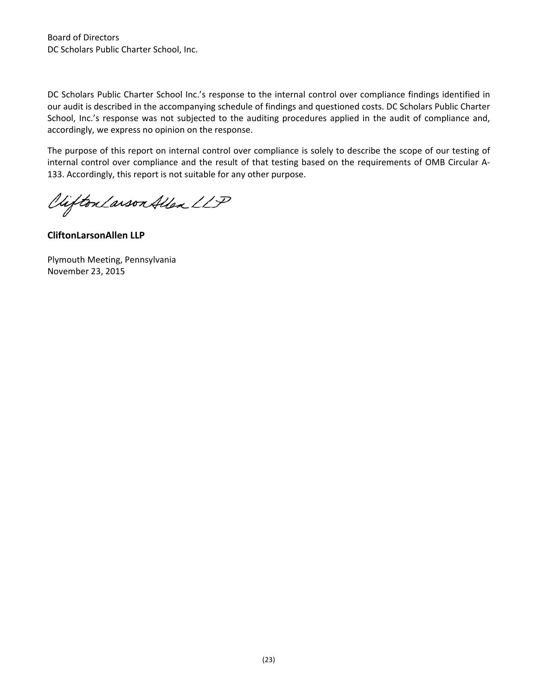Board of Directors DC Scholars Public Charter School, Inc.

DC Scholars Public Charter School Inc.'s response to the internal control over compliance findings identified in our audit is described in the accompanying schedule of findings and questioned costs. DC Scholars Public Charter School, Inc.'s response was not subjected to the auditing procedures applied in the audit of compliance and, accordingly, we express no opinion on the response.

The purpose of this report on internal control over compliance is solely to describe the scope of our testing of internal control over compliance and the result of that testing based on the requirements of OMB Circular A‐ 133. Accordingly, this report is not suitable for any other purpose.

Clifton Larson Allen LLP

**CliftonLarsonAllen LLP**

Plymouth Meeting, Pennsylvania November 23, 2015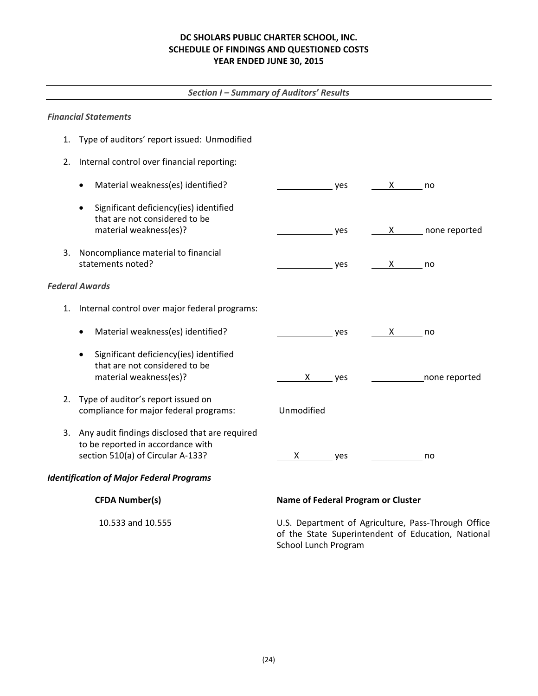# **DC SHOLARS PUBLIC CHARTER SCHOOL, INC. SCHEDULE OF FINDINGS AND QUESTIONED COSTS YEAR ENDED JUNE 30, 2015**

# *Section I – Summary of Auditors' Results*

# *Financial Statements*

| 1. | Type of auditors' report issued: Unmodified                                                                                 |            |                                                                                                                                                                                                                                                                                                        |
|----|-----------------------------------------------------------------------------------------------------------------------------|------------|--------------------------------------------------------------------------------------------------------------------------------------------------------------------------------------------------------------------------------------------------------------------------------------------------------|
| 2. | Internal control over financial reporting:                                                                                  |            |                                                                                                                                                                                                                                                                                                        |
|    | Material weakness(es) identified?<br>$\bullet$                                                                              | yes        | X no                                                                                                                                                                                                                                                                                                   |
|    | Significant deficiency(ies) identified<br>that are not considered to be<br>material weakness(es)?                           | yes        | X none reported                                                                                                                                                                                                                                                                                        |
|    | 3. Noncompliance material to financial<br>statements noted?                                                                 | yes        | x no                                                                                                                                                                                                                                                                                                   |
|    | <b>Federal Awards</b>                                                                                                       |            |                                                                                                                                                                                                                                                                                                        |
| 1. | Internal control over major federal programs:                                                                               |            |                                                                                                                                                                                                                                                                                                        |
|    | Material weakness(es) identified?                                                                                           | yes        | $\mathsf{X}$ and $\mathsf{X}$ and $\mathsf{X}$ and $\mathsf{X}$ are $\mathsf{X}$ and $\mathsf{X}$ and $\mathsf{X}$ are $\mathsf{X}$ and $\mathsf{X}$ are $\mathsf{X}$ and $\mathsf{X}$ are $\mathsf{X}$ and $\mathsf{X}$ are $\mathsf{X}$ and $\mathsf{X}$ are $\mathsf{X}$ and $\mathsf{X}$ are<br>no |
|    | Significant deficiency(ies) identified<br>that are not considered to be<br>material weakness(es)?                           | X<br>yes   | none reported                                                                                                                                                                                                                                                                                          |
| 2. | Type of auditor's report issued on<br>compliance for major federal programs:                                                | Unmodified |                                                                                                                                                                                                                                                                                                        |
|    | 3. Any audit findings disclosed that are required<br>to be reported in accordance with<br>section 510(a) of Circular A-133? | X<br>yes   | no                                                                                                                                                                                                                                                                                                     |
|    | Idontification of Maior Eodoral Drograms                                                                                    |            |                                                                                                                                                                                                                                                                                                        |

### *Identification of Major Federal Programs*

# **CFDA Number(s) Name of Federal Program or Cluster**

10.533 and 10.555 U.S. Department of Agriculture, Pass‐Through Office of the State Superintendent of Education, National School Lunch Program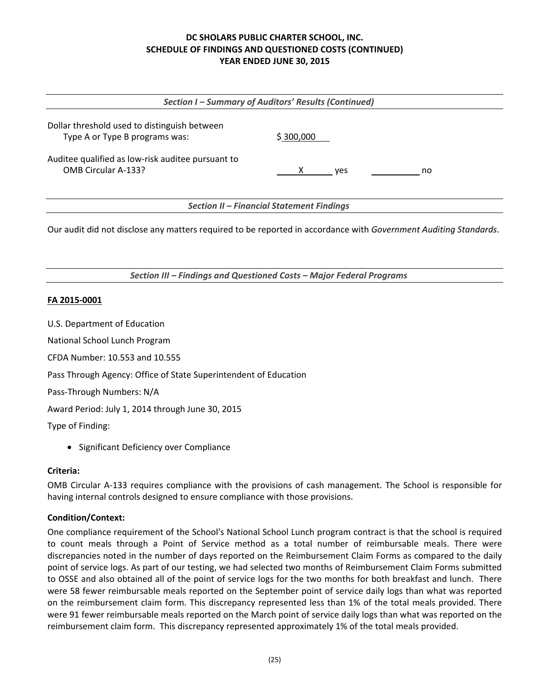# **DC SHOLARS PUBLIC CHARTER SCHOOL, INC. SCHEDULE OF FINDINGS AND QUESTIONED COSTS (CONTINUED) YEAR ENDED JUNE 30, 2015**

| Section I - Summary of Auditors' Results (Continued)                                                |           |  |  |  |  |  |
|-----------------------------------------------------------------------------------------------------|-----------|--|--|--|--|--|
| Dollar threshold used to distinguish between<br>Type A or Type B programs was:                      | \$300,000 |  |  |  |  |  |
| Auditee qualified as low-risk auditee pursuant to<br><b>OMB Circular A-133?</b><br><b>ves</b><br>no |           |  |  |  |  |  |
| <b>Section II - Financial Statement Findings</b>                                                    |           |  |  |  |  |  |

Our audit did not disclose any matters required to be reported in accordance with *Government Auditing Standards*.

*Section III – Findings and Questioned Costs – Major Federal Programs* 

#### **FA 2015‐0001**

U.S. Department of Education

National School Lunch Program

CFDA Number: 10.553 and 10.555

Pass Through Agency: Office of State Superintendent of Education

Pass‐Through Numbers: N/A

Award Period: July 1, 2014 through June 30, 2015

Type of Finding:

• Significant Deficiency over Compliance

### **Criteria:**

OMB Circular A‐133 requires compliance with the provisions of cash management. The School is responsible for having internal controls designed to ensure compliance with those provisions.

### **Condition/Context:**

One compliance requirement of the School's National School Lunch program contract is that the school is required to count meals through a Point of Service method as a total number of reimbursable meals. There were discrepancies noted in the number of days reported on the Reimbursement Claim Forms as compared to the daily point of service logs. As part of our testing, we had selected two months of Reimbursement Claim Forms submitted to OSSE and also obtained all of the point of service logs for the two months for both breakfast and lunch. There were 58 fewer reimbursable meals reported on the September point of service daily logs than what was reported on the reimbursement claim form. This discrepancy represented less than 1% of the total meals provided. There were 91 fewer reimbursable meals reported on the March point of service daily logs than what was reported on the reimbursement claim form. This discrepancy represented approximately 1% of the total meals provided.